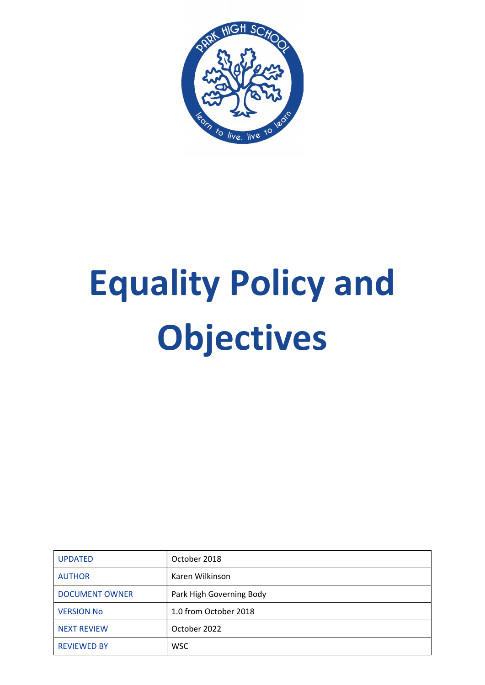

# Equality Policy and Objectives

| <b>UPDATED</b>        | October 2018             |
|-----------------------|--------------------------|
| <b>AUTHOR</b>         | Karen Wilkinson          |
| <b>DOCUMENT OWNER</b> | Park High Governing Body |
| <b>VERSION No</b>     | 1.0 from October 2018    |
| <b>NEXT REVIEW</b>    | October 2022             |
| <b>REVIEWED BY</b>    | <b>WSC</b>               |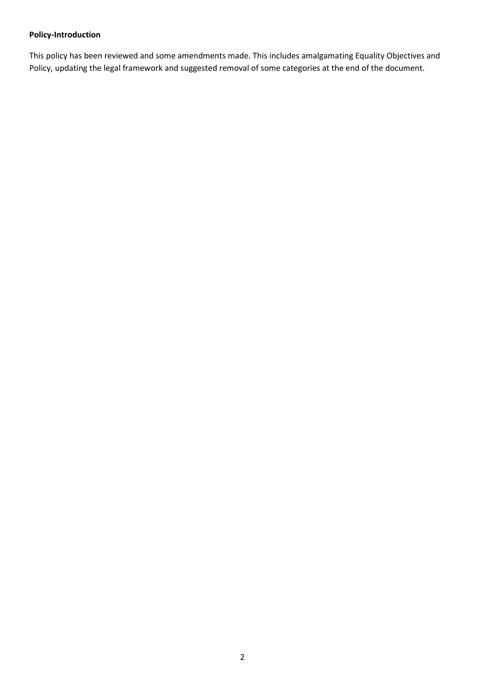# Policy-Introduction

This policy has been reviewed and some amendments made. This includes amalgamating Equality Objectives and Policy, updating the legal framework and suggested removal of some categories at the end of the document.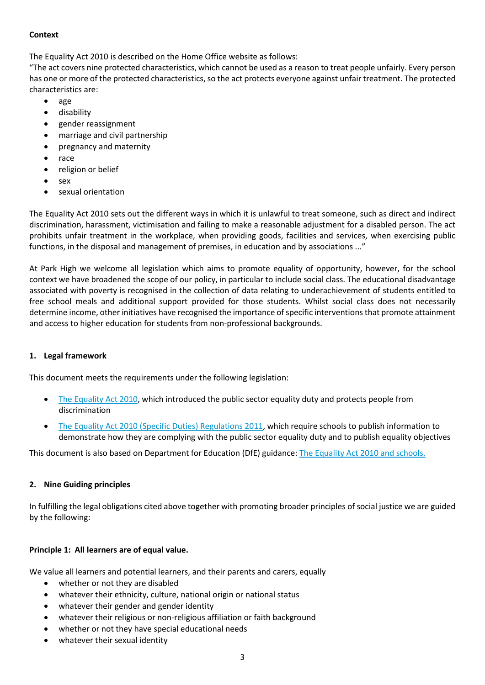## **Context**

The Equality Act 2010 is described on the Home Office website as follows:

"The act covers nine protected characteristics, which cannot be used as a reason to treat people unfairly. Every person has one or more of the protected characteristics, so the act protects everyone against unfair treatment. The protected characteristics are:

- age
- **•** disability
- gender reassignment
- marriage and civil partnership
- pregnancy and maternity
- race
- religion or belief
- sex
- sexual orientation

The Equality Act 2010 sets out the different ways in which it is unlawful to treat someone, such as direct and indirect discrimination, harassment, victimisation and failing to make a reasonable adjustment for a disabled person. The act prohibits unfair treatment in the workplace, when providing goods, facilities and services, when exercising public functions, in the disposal and management of premises, in education and by associations ..."

At Park High we welcome all legislation which aims to promote equality of opportunity, however, for the school context we have broadened the scope of our policy, in particular to include social class. The educational disadvantage associated with poverty is recognised in the collection of data relating to underachievement of students entitled to free school meals and additional support provided for those students. Whilst social class does not necessarily determine income, other initiatives have recognised the importance of specific interventions that promote attainment and access to higher education for students from non-professional backgrounds.

# 1. Legal framework

This document meets the requirements under the following legislation:

- The Equality Act 2010, which introduced the public sector equality duty and protects people from discrimination
- The Equality Act 2010 (Specific Duties) Regulations 2011, which require schools to publish information to demonstrate how they are complying with the public sector equality duty and to publish equality objectives

This document is also based on Department for Education (DfE) guidance: The Equality Act 2010 and schools.

# 2. Nine Guiding principles

In fulfilling the legal obligations cited above together with promoting broader principles of social justice we are guided by the following:

# Principle 1: All learners are of equal value.

We value all learners and potential learners, and their parents and carers, equally

- whether or not they are disabled
- whatever their ethnicity, culture, national origin or national status
- whatever their gender and gender identity
- whatever their religious or non-religious affiliation or faith background
- whether or not they have special educational needs
- whatever their sexual identity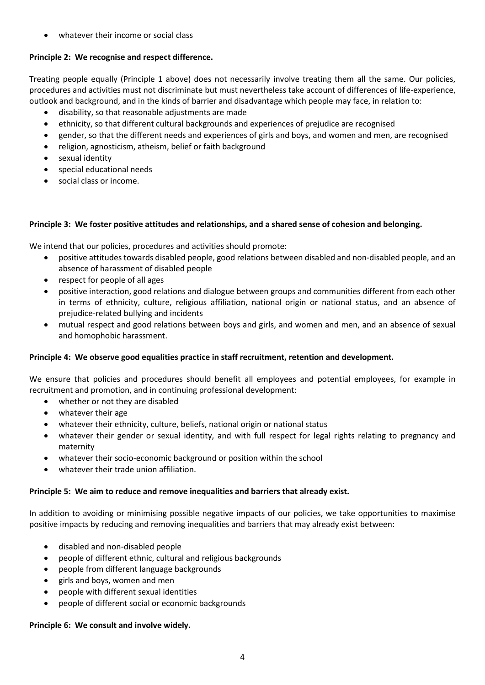whatever their income or social class

# Principle 2: We recognise and respect difference.

Treating people equally (Principle 1 above) does not necessarily involve treating them all the same. Our policies, procedures and activities must not discriminate but must nevertheless take account of differences of life-experience, outlook and background, and in the kinds of barrier and disadvantage which people may face, in relation to:

- disability, so that reasonable adjustments are made
- ethnicity, so that different cultural backgrounds and experiences of prejudice are recognised
- gender, so that the different needs and experiences of girls and boys, and women and men, are recognised
- religion, agnosticism, atheism, belief or faith background
- sexual identity
- special educational needs
- social class or income.

## Principle 3: We foster positive attitudes and relationships, and a shared sense of cohesion and belonging.

We intend that our policies, procedures and activities should promote:

- positive attitudes towards disabled people, good relations between disabled and non-disabled people, and an absence of harassment of disabled people
- respect for people of all ages
- positive interaction, good relations and dialogue between groups and communities different from each other in terms of ethnicity, culture, religious affiliation, national origin or national status, and an absence of prejudice-related bullying and incidents
- mutual respect and good relations between boys and girls, and women and men, and an absence of sexual and homophobic harassment.

#### Principle 4: We observe good equalities practice in staff recruitment, retention and development.

We ensure that policies and procedures should benefit all employees and potential employees, for example in recruitment and promotion, and in continuing professional development:

- whether or not they are disabled
- whatever their age
- whatever their ethnicity, culture, beliefs, national origin or national status
- whatever their gender or sexual identity, and with full respect for legal rights relating to pregnancy and maternity
- whatever their socio-economic background or position within the school
- whatever their trade union affiliation.

#### Principle 5: We aim to reduce and remove inequalities and barriers that already exist.

In addition to avoiding or minimising possible negative impacts of our policies, we take opportunities to maximise positive impacts by reducing and removing inequalities and barriers that may already exist between:

- disabled and non-disabled people
- people of different ethnic, cultural and religious backgrounds
- people from different language backgrounds
- girls and boys, women and men
- people with different sexual identities
- people of different social or economic backgrounds

#### Principle 6: We consult and involve widely.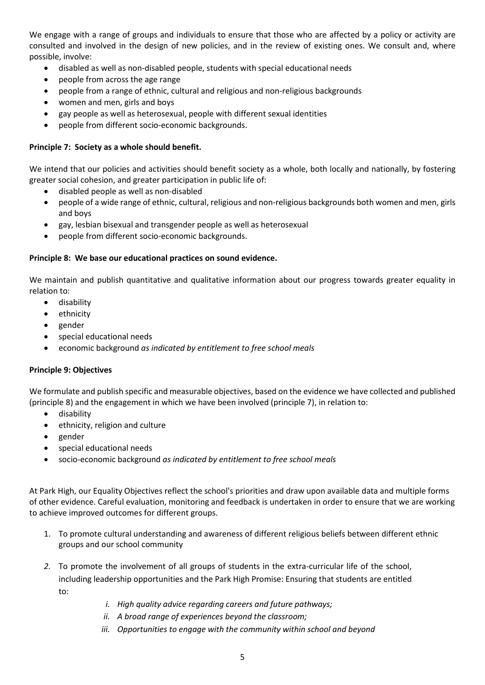We engage with a range of groups and individuals to ensure that those who are affected by a policy or activity are consulted and involved in the design of new policies, and in the review of existing ones. We consult and, where possible, involve:

- disabled as well as non-disabled people, students with special educational needs
- people from across the age range
- people from a range of ethnic, cultural and religious and non-religious backgrounds
- women and men, girls and boys
- gay people as well as heterosexual, people with different sexual identities
- people from different socio-economic backgrounds.

## Principle 7: Society as a whole should benefit.

We intend that our policies and activities should benefit society as a whole, both locally and nationally, by fostering greater social cohesion, and greater participation in public life of:

- disabled people as well as non-disabled
- people of a wide range of ethnic, cultural, religious and non-religious backgrounds both women and men, girls and boys
- gay, lesbian bisexual and transgender people as well as heterosexual
- people from different socio-economic backgrounds.

#### Principle 8: We base our educational practices on sound evidence.

We maintain and publish quantitative and qualitative information about our progress towards greater equality in relation to:

- **•** disability
- ethnicity
- gender
- special educational needs
- economic background as indicated by entitlement to free school meals

## Principle 9: Objectives

We formulate and publish specific and measurable objectives, based on the evidence we have collected and published (principle 8) and the engagement in which we have been involved (principle 7), in relation to:

- disability
- ethnicity, religion and culture
- gender
- special educational needs
- socio-economic background as indicated by entitlement to free school meals

At Park High, our Equality Objectives reflect the school's priorities and draw upon available data and multiple forms of other evidence. Careful evaluation, monitoring and feedback is undertaken in order to ensure that we are working to achieve improved outcomes for different groups.

- 1. To promote cultural understanding and awareness of different religious beliefs between different ethnic groups and our school community
- 2. To promote the involvement of all groups of students in the extra-curricular life of the school, including leadership opportunities and the Park High Promise: Ensuring that students are entitled to:
	- i. High quality advice regarding careers and future pathways;
	- ii. A broad range of experiences beyond the classroom;
	- iii. Opportunities to engage with the community within school and beyond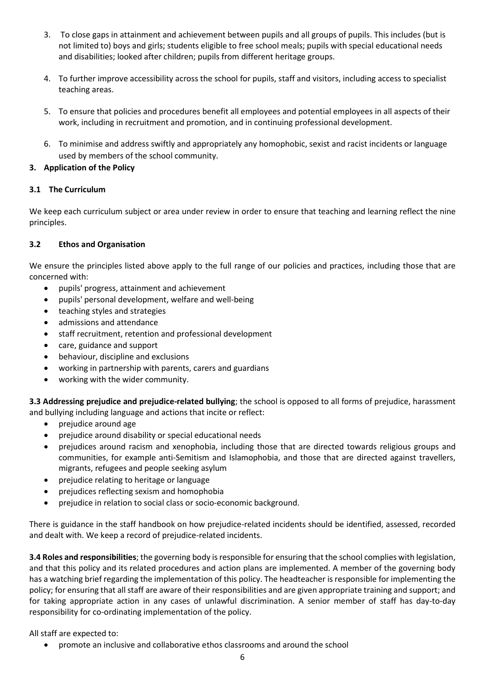- 3. To close gaps in attainment and achievement between pupils and all groups of pupils. This includes (but is not limited to) boys and girls; students eligible to free school meals; pupils with special educational needs and disabilities; looked after children; pupils from different heritage groups.
- 4. To further improve accessibility across the school for pupils, staff and visitors, including access to specialist teaching areas.
- 5. To ensure that policies and procedures benefit all employees and potential employees in all aspects of their work, including in recruitment and promotion, and in continuing professional development.
- 6. To minimise and address swiftly and appropriately any homophobic, sexist and racist incidents or language used by members of the school community.

## 3. Application of the Policy

## 3.1 The Curriculum

We keep each curriculum subject or area under review in order to ensure that teaching and learning reflect the nine principles.

## 3.2 Ethos and Organisation

We ensure the principles listed above apply to the full range of our policies and practices, including those that are concerned with:

- pupils' progress, attainment and achievement
- pupils' personal development, welfare and well-being
- teaching styles and strategies
- admissions and attendance
- staff recruitment, retention and professional development
- care, guidance and support
- behaviour, discipline and exclusions
- working in partnership with parents, carers and guardians
- working with the wider community.

3.3 Addressing prejudice and prejudice-related bullying; the school is opposed to all forms of prejudice, harassment and bullying including language and actions that incite or reflect:

- prejudice around age
- prejudice around disability or special educational needs
- prejudices around racism and xenophobia, including those that are directed towards religious groups and communities, for example anti-Semitism and Islamophobia, and those that are directed against travellers, migrants, refugees and people seeking asylum
- prejudice relating to heritage or language
- prejudices reflecting sexism and homophobia
- prejudice in relation to social class or socio-economic background.

There is guidance in the staff handbook on how prejudice-related incidents should be identified, assessed, recorded and dealt with. We keep a record of prejudice-related incidents.

3.4 Roles and responsibilities; the governing body is responsible for ensuring that the school complies with legislation, and that this policy and its related procedures and action plans are implemented. A member of the governing body has a watching brief regarding the implementation of this policy. The headteacher is responsible for implementing the policy; for ensuring that all staff are aware of their responsibilities and are given appropriate training and support; and for taking appropriate action in any cases of unlawful discrimination. A senior member of staff has day-to-day responsibility for co-ordinating implementation of the policy.

All staff are expected to:

promote an inclusive and collaborative ethos classrooms and around the school